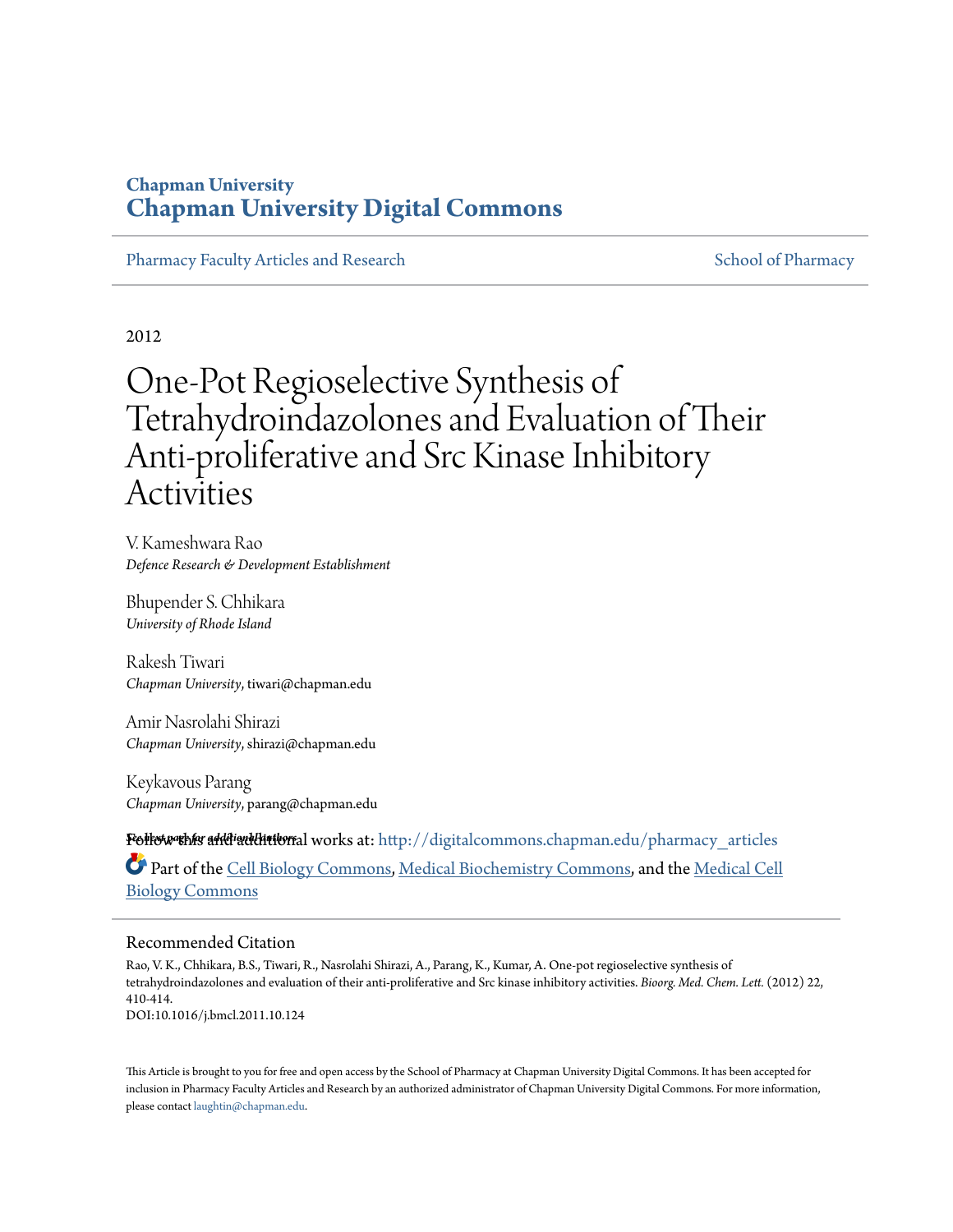### **Chapman University [Chapman University Digital Commons](http://digitalcommons.chapman.edu?utm_source=digitalcommons.chapman.edu%2Fpharmacy_articles%2F104&utm_medium=PDF&utm_campaign=PDFCoverPages)**

[Pharmacy Faculty Articles and Research](http://digitalcommons.chapman.edu/pharmacy_articles?utm_source=digitalcommons.chapman.edu%2Fpharmacy_articles%2F104&utm_medium=PDF&utm_campaign=PDFCoverPages) [School of Pharmacy](http://digitalcommons.chapman.edu/cusp?utm_source=digitalcommons.chapman.edu%2Fpharmacy_articles%2F104&utm_medium=PDF&utm_campaign=PDFCoverPages) School of Pharmacy

2012

# One-Pot Regioselective Synthesis of Tetrahydroindazolones and Evaluation of Their Anti-proliferative and Src Kinase Inhibitory Activities

V. Kameshwara Rao *Defence Research & Development Establishment*

Bhupender S. Chhikara *University of Rhode Island*

Rakesh Tiwari *Chapman University*, tiwari@chapman.edu

Amir Nasrolahi Shirazi *Chapman University*, shirazi@chapman.edu

Keykavous Parang *Chapman University*, parang@chapman.edu

**Follow this a<del>ndi</del>nal littlors** hworks at: [http://digitalcommons.chapman.edu/pharmacy\\_articles](http://digitalcommons.chapman.edu/pharmacy_articles?utm_source=digitalcommons.chapman.edu%2Fpharmacy_articles%2F104&utm_medium=PDF&utm_campaign=PDFCoverPages) Part of the [Cell Biology Commons,](http://network.bepress.com/hgg/discipline/10?utm_source=digitalcommons.chapman.edu%2Fpharmacy_articles%2F104&utm_medium=PDF&utm_campaign=PDFCoverPages) [Medical Biochemistry Commons](http://network.bepress.com/hgg/discipline/666?utm_source=digitalcommons.chapman.edu%2Fpharmacy_articles%2F104&utm_medium=PDF&utm_campaign=PDFCoverPages), and the [Medical Cell](http://network.bepress.com/hgg/discipline/669?utm_source=digitalcommons.chapman.edu%2Fpharmacy_articles%2F104&utm_medium=PDF&utm_campaign=PDFCoverPages) [Biology Commons](http://network.bepress.com/hgg/discipline/669?utm_source=digitalcommons.chapman.edu%2Fpharmacy_articles%2F104&utm_medium=PDF&utm_campaign=PDFCoverPages)

#### Recommended Citation

Rao, V. K., Chhikara, B.S., Tiwari, R., Nasrolahi Shirazi, A., Parang, K., Kumar, A. One-pot regioselective synthesis of tetrahydroindazolones and evaluation of their anti-proliferative and Src kinase inhibitory activities. *Bioorg. Med. Chem. Lett.* (2012) 22, 410-414. DOI:10.1016/j.bmcl.2011.10.124

This Article is brought to you for free and open access by the School of Pharmacy at Chapman University Digital Commons. It has been accepted for inclusion in Pharmacy Faculty Articles and Research by an authorized administrator of Chapman University Digital Commons. For more information, please contact [laughtin@chapman.edu.](mailto:laughtin@chapman.edu)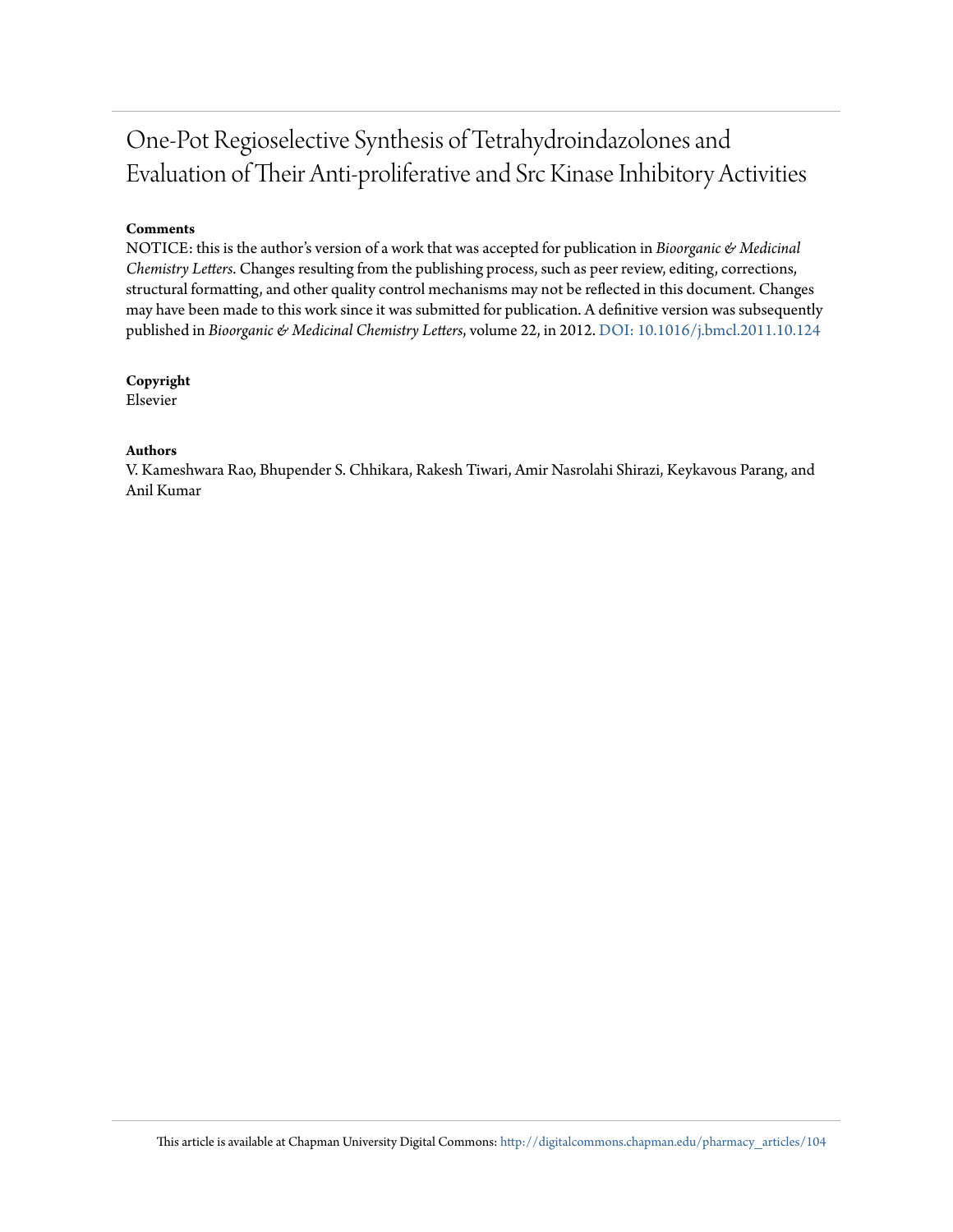## One-Pot Regioselective Synthesis of Tetrahydroindazolones and Evaluation of Their Anti-proliferative and Src Kinase Inhibitory Activities

#### **Comments**

NOTICE: this is the author's version of a work that was accepted for publication in *Bioorganic & Medicinal Chemistry Letters*. Changes resulting from the publishing process, such as peer review, editing, corrections, structural formatting, and other quality control mechanisms may not be reflected in this document. Changes may have been made to this work since it was submitted for publication. A definitive version was subsequently published in *Bioorganic & Medicinal Chemistry Letters*, volume 22, in 2012. [DOI: 10.1016/j.bmcl.2011.10.124](http://dx.doi.org/10.1016/j.bmcl.2011.10.124)

#### **Copyright**

Elsevier

#### **Authors**

V. Kameshwara Rao, Bhupender S. Chhikara, Rakesh Tiwari, Amir Nasrolahi Shirazi, Keykavous Parang, and Anil Kumar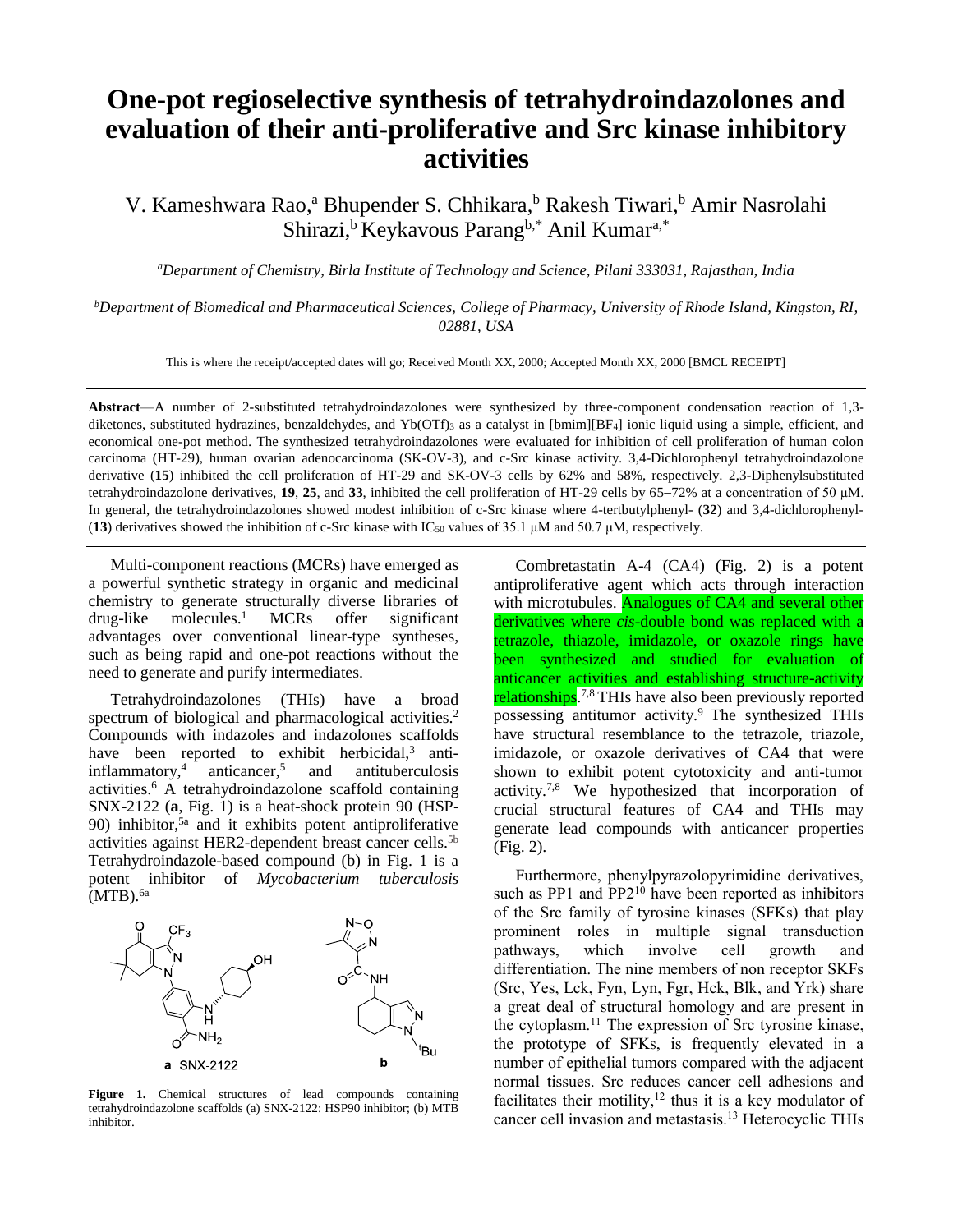### **One-pot regioselective synthesis of tetrahydroindazolones and evaluation of their anti-proliferative and Src kinase inhibitory activities**

V. Kameshwara Rao,<sup>a</sup> Bhupender S. Chhikara,<sup>b</sup> Rakesh Tiwari,<sup>b</sup> Amir Nasrolahi Shirazi,<sup>b</sup> Keykavous Parang<sup>b,\*</sup> Anil Kumar<sup>a,\*</sup>

*<sup>a</sup>Department of Chemistry, Birla Institute of Technology and Science, Pilani 333031, Rajasthan, India*

*<sup>b</sup>Department of Biomedical and Pharmaceutical Sciences, College of Pharmacy, University of Rhode Island, Kingston, RI, 02881, USA*

This is where the receipt/accepted dates will go; Received Month XX, 2000; Accepted Month XX, 2000 [BMCL RECEIPT]

**Abstract**—A number of 2-substituted tetrahydroindazolones were synthesized by three-component condensation reaction of 1,3 diketones, substituted hydrazines, benzaldehydes, and Yb(OTf)<sub>3</sub> as a catalyst in [bmim][BF<sub>4</sub>] ionic liquid using a simple, efficient, and economical one-pot method. The synthesized tetrahydroindazolones were evaluated for inhibition of cell proliferation of human colon carcinoma (HT-29), human ovarian adenocarcinoma (SK-OV-3), and c-Src kinase activity. 3,4-Dichlorophenyl tetrahydroindazolone derivative (**15**) inhibited the cell proliferation of HT-29 and SK-OV-3 cells by 62% and 58%, respectively. 2,3-Diphenylsubstituted tetrahydroindazolone derivatives, 19, 25, and 33, inhibited the cell proliferation of HT-29 cells by 65–72% at a concentration of 50 μM. In general, the tetrahydroindazolones showed modest inhibition of c-Src kinase where 4-tertbutylphenyl- (**32**) and 3,4-dichlorophenyl- (**13**) derivatives showed the inhibition of c-Src kinase with IC<sup>50</sup> values of 35.1 μM and 50.7 μM, respectively.

Multi-component reactions (MCRs) have emerged as a powerful synthetic strategy in organic and medicinal chemistry to generate structurally diverse libraries of  $drug$ -like molecules.<sup>1</sup> MCRs offer significant drug-like molecules.<sup>1</sup> MCRs offer significant advantages over conventional linear-type syntheses, such as being rapid and one-pot reactions without the need to generate and purify intermediates.

Tetrahydroindazolones (THIs) have a broad spectrum of biological and pharmacological activities. 2 Compounds with indazoles and indazolones scaffolds have been reported to exhibit herbicidal, $3$  antiinflammatory,<sup>4</sup> anticancer, <sup>5</sup> and antituberculosis activities. <sup>6</sup> A tetrahydroindazolone scaffold containing SNX-2122 (**a**, Fig. 1) is a heat-shock protein 90 (HSP-90) inhibitor, 5a and it exhibits potent antiproliferative activities against HER2-dependent breast cancer cells.<sup>5b</sup> Tetrahydroindazole-based compound (b) in Fig. 1 is a potent inhibitor of *Mycobacterium tuberculosis*  $(MTB).<sup>6a</sup>$ 



Figure 1. Chemical structures of lead compounds containing tetrahydroindazolone scaffolds (a) SNX-2122: HSP90 inhibitor; (b) MTB inhibitor.

Combretastatin A-4 (CA4) (Fig. 2) is a potent antiproliferative agent which acts through interaction with microtubules. **Analogues of CA4 and several other** derivatives where *cis*-double bond was replaced with a tetrazole, thiazole, imidazole, or oxazole rings have been synthesized and studied for evaluation of anticancer activities and establishing structure-activity relationships.<sup>7,8</sup> THIs have also been previously reported possessing antitumor activity.<sup>9</sup> The synthesized THIs have structural resemblance to the tetrazole, triazole, imidazole, or oxazole derivatives of CA4 that were shown to exhibit potent cytotoxicity and anti-tumor activity.7,8 We hypothesized that incorporation of crucial structural features of CA4 and THIs may generate lead compounds with anticancer properties (Fig. 2).

Furthermore, phenylpyrazolopyrimidine derivatives, such as PP1 and  $PP2<sup>10</sup>$  have been reported as inhibitors of the Src family of tyrosine kinases (SFKs) that play prominent roles in multiple signal transduction pathways, which involve cell growth and differentiation. The nine members of non receptor SKFs (Src, Yes, Lck, Fyn, Lyn, Fgr, Hck, Blk, and Yrk) share a great deal of structural homology and are present in the cytoplasm. <sup>11</sup> The expression of Src tyrosine kinase, the prototype of SFKs, is frequently elevated in a number of epithelial tumors compared with the adjacent normal tissues. Src reduces cancer cell adhesions and facilitates their motility, $12$  thus it is a key modulator of cancer cell invasion and metastasis. <sup>13</sup> Heterocyclic THIs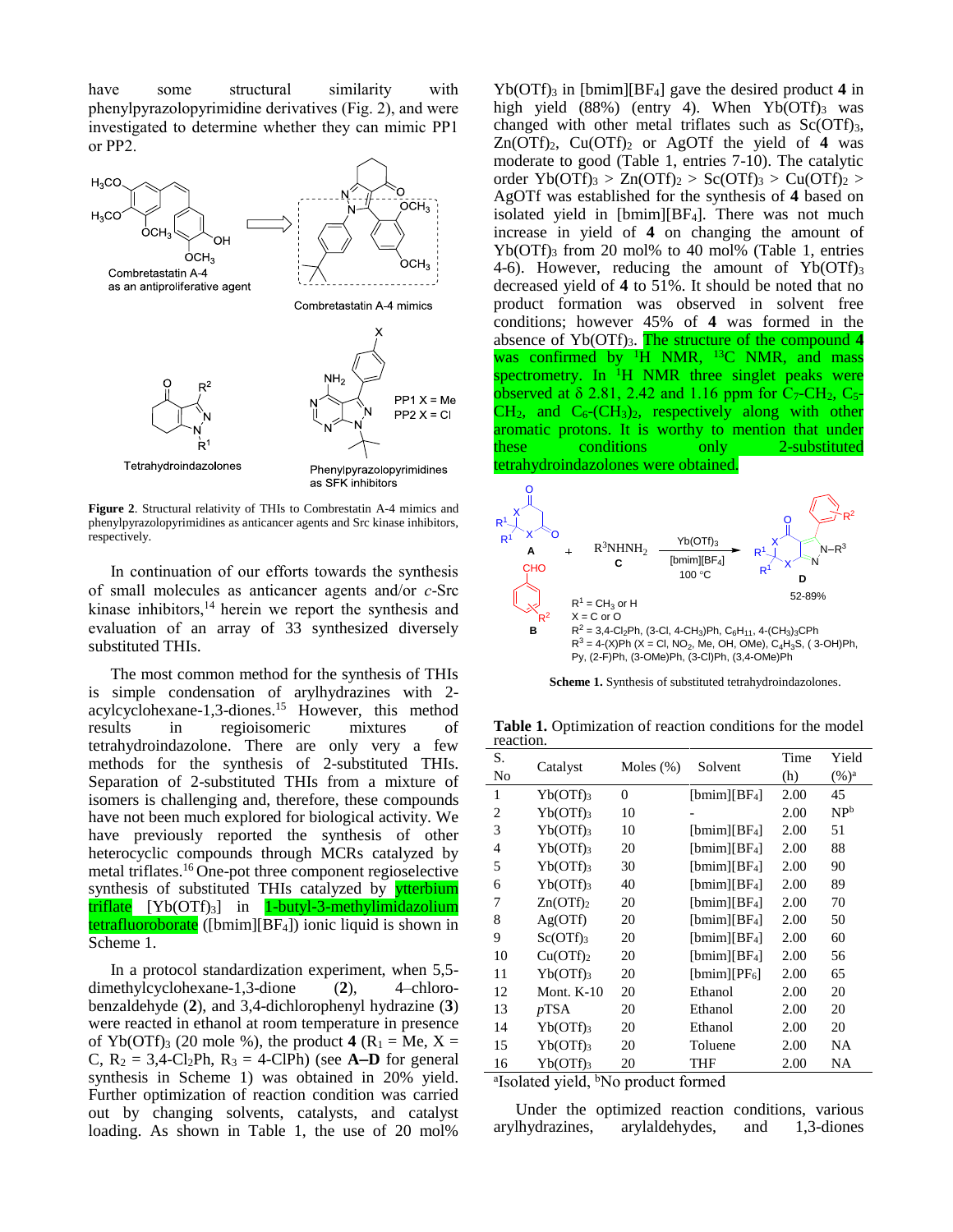have some structural similarity with phenylpyrazolopyrimidine derivatives (Fig. 2), and were investigated to determine whether they can mimic PP1 or PP2.



**Figure 2**. Structural relativity of THIs to Combrestatin A-4 mimics and phenylpyrazolopyrimidines as anticancer agents and Src kinase inhibitors, respectively.

In continuation of our efforts towards the synthesis of small molecules as anticancer agents and/or *c*-Src kinase inhibitors, $14$  herein we report the synthesis and evaluation of an array of 33 synthesized diversely substituted THIs.

The most common method for the synthesis of THIs is simple condensation of arylhydrazines with 2 acylcyclohexane-1,3-diones. <sup>15</sup> However, this method results in regioisomeric mixtures of tetrahydroindazolone. There are only very a few methods for the synthesis of 2-substituted THIs. Separation of 2-substituted THIs from a mixture of isomers is challenging and, therefore, these compounds have not been much explored for biological activity. We have previously reported the synthesis of other heterocyclic compounds through MCRs catalyzed by metal triflates. <sup>16</sup> One-pot three component regioselective synthesis of substituted THIs catalyzed by **ytterbium** triflate [Yb(OTf)3] in 1-butyl-3-methylimidazolium tetrafluoroborate ([bmim][BF4]) ionic liquid is shown in Scheme 1.

In a protocol standardization experiment, when 5,5 dimethylcyclohexane-1,3-dione (**2**), 4–chlorobenzaldehyde (**2**), and 3,4-dichlorophenyl hydrazine (**3**) were reacted in ethanol at room temperature in presence of Yb(OTf)<sub>3</sub> (20 mole %), the product  $4(R_1 = Me, X =$ C,  $R_2 = 3,4$ -Cl<sub>2</sub>Ph,  $R_3 = 4$ -ClPh) (see **A-D** for general synthesis in Scheme 1) was obtained in 20% yield. Further optimization of reaction condition was carried out by changing solvents, catalysts, and catalyst loading. As shown in Table 1, the use of 20 mol%

 $Yb(OTf)$ <sub>3</sub> in [bmim][BF<sub>4</sub>] gave the desired product 4 in high yield  $(88%)$  (entry 4). When Yb $(OTf)_{3}$  was changed with other metal triflates such as  $Sc(OTf)_{3}$ ,  $Zn(OTf)_2$ ,  $Cu(OTf)_2$  or AgOTf the yield of 4 was moderate to good (Table 1, entries 7-10). The catalytic order  $Yb(OTf)_3 > Zn(OTf)_2 > Sc(OTf)_3 > Cu(OTf)_2 >$ AgOTf was established for the synthesis of **4** based on isolated yield in  $[bmin][BF<sub>4</sub>]$ . There was not much increase in yield of **4** on changing the amount of  $Yb(OTf)$ <sub>3</sub> from 20 mol% to 40 mol% (Table 1, entries 4-6). However, reducing the amount of  $Yb(OTf)_{3}$ decreased yield of **4** to 51%. It should be noted that no product formation was observed in solvent free conditions; however 45% of **4** was formed in the absence of Yb(OTf)<sub>3</sub>. The structure of the compound 4 was confirmed by  ${}^{1}H$  NMR,  ${}^{13}C$  NMR, and mass spectrometry. In  ${}^{1}H$  NMR three singlet peaks were observed at  $\delta$  2.81, 2.42 and 1.16 ppm for C<sub>7</sub>-CH<sub>2</sub>, C<sub>5</sub>- $CH<sub>2</sub>$ , and  $C<sub>6</sub>$ - $(CH<sub>3</sub>)<sub>2</sub>$ , respectively along with other aromatic protons. It is worthy to mention that under these conditions only 2-substituted tetrahydroindazolones were obtained.



**Scheme 1.** Synthesis of substituted tetrahydroindazolones.

**Table 1.** Optimization of reaction conditions for the model reaction.

| S.             | Catalyst               | Moles $(\%)$ | Solvent        | Time | Yield           |
|----------------|------------------------|--------------|----------------|------|-----------------|
| No             |                        |              |                | (h)  | $(\%)^{\rm a}$  |
| 1              | $Yb(OTf)$ <sub>3</sub> | $\Omega$     | $[bmin][BF_4]$ | 2.00 | 45              |
| $\overline{c}$ | Yb(OTf)3               | 10           |                | 2.00 | NP <sup>b</sup> |
| 3              | $Yb(OTf)$ <sub>3</sub> | 10           | $[bmin][BF_4]$ | 2.00 | 51              |
| 4              | $Yb(OTf)_{3}$          | 20           | $[bmin][BF_4]$ | 2.00 | 88              |
| 5              | $Yb(OTf)$ <sub>3</sub> | 30           | $[bmin][BF_4]$ | 2.00 | 90              |
| 6              | $Yb(OTf)$ <sub>3</sub> | 40           | $[bmin][BF_4]$ | 2.00 | 89              |
| 7              | Zn(OTf) <sub>2</sub>   | 20           | $[bmin][BF_4]$ | 2.00 | 70              |
| 8              | Ag(OTf)                | 20           | $[bmin][BF_4]$ | 2.00 | 50              |
| 9              | $Sc(OTf)_{3}$          | 20           | $[bmin][BF_4]$ | 2.00 | 60              |
| 10             | Cu(OTf) <sub>2</sub>   | 20           | $[bmin][BF_4]$ | 2.00 | 56              |
| 11             | $Yb(OTf)$ <sub>3</sub> | 20           | $[bmin][PF_6]$ | 2.00 | 65              |
| 12             | Mont. $K-10$           | 20           | Ethanol        | 2.00 | 20              |
| 13             | $p$ TSA                | 20           | Ethanol        | 2.00 | 20              |
| 14             | $Yb(OTf)$ <sub>3</sub> | 20           | Ethanol        | 2.00 | 20              |
| 15             | $Yb(OTf)$ <sub>3</sub> | 20           | Toluene        | 2.00 | NA              |
| 16             | $Yb(OTf)$ <sub>3</sub> | 20           | THF            | 2.00 | NA              |

<sup>a</sup>Isolated yield, <sup>b</sup>No product formed

Under the optimized reaction conditions, various arylhydrazines, arylaldehydes, and 1,3-diones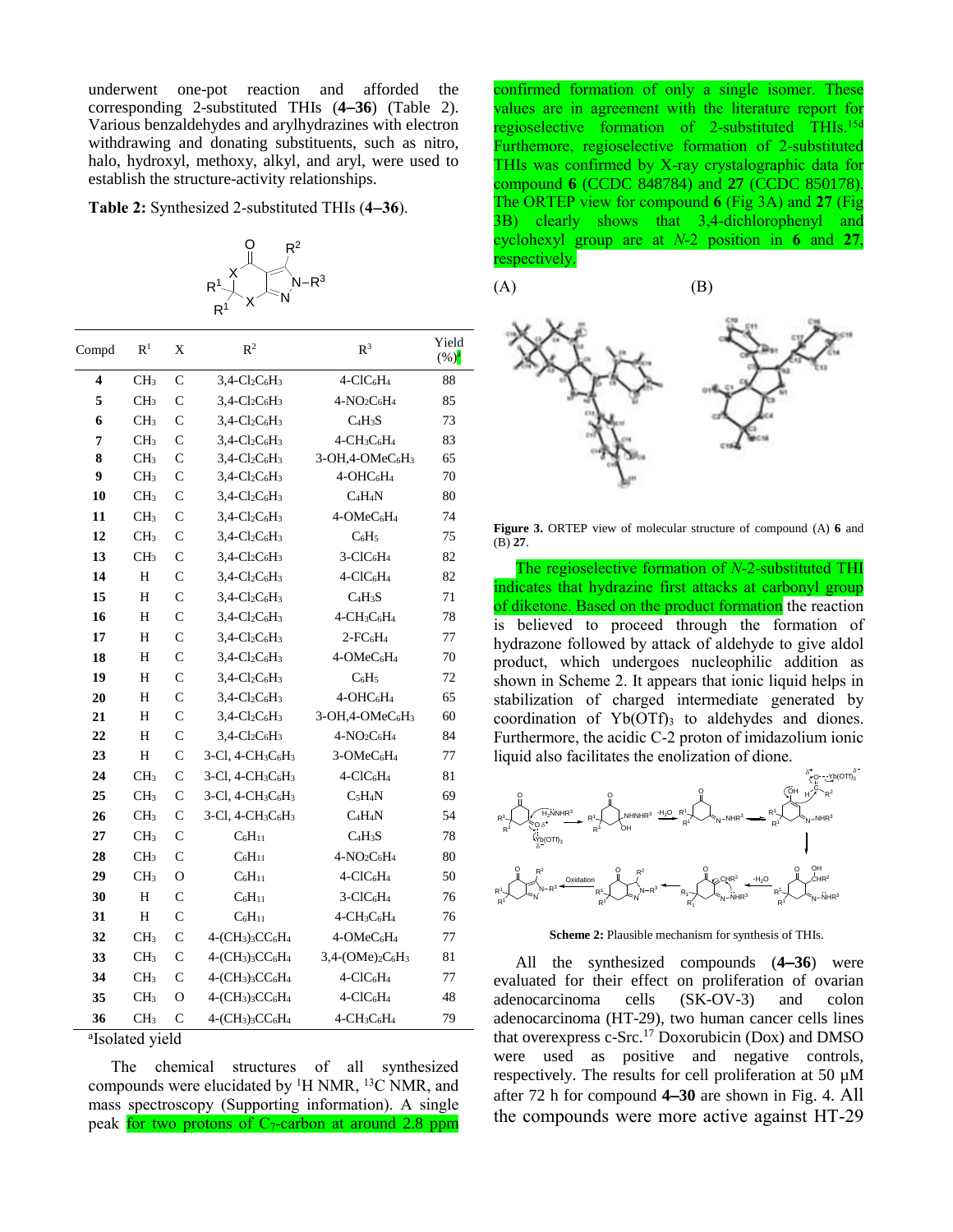underwent one-pot reaction and afforded the corresponding 2-substituted THIs (**436**) (Table 2). Various benzaldehydes and arylhydrazines with electron withdrawing and donating substituents, such as nitro, halo, hydroxyl, methoxy, alkyl, and aryl, were used to establish the structure-activity relationships.

**Table 2:** Synthesized 2-substituted THIs (**436**).



| Compd | R <sup>1</sup>  | X              | $\mathbb{R}^2$                                                   | $R^3$                                                | Yield<br>$(\%)^a$ |
|-------|-----------------|----------------|------------------------------------------------------------------|------------------------------------------------------|-------------------|
| 4     | CH <sub>3</sub> | $\mathcal{C}$  | $3,4$ -Cl <sub>2</sub> C <sub>6</sub> H <sub>3</sub>             | 4-ClC <sub>6</sub> H <sub>4</sub>                    | 88                |
| 5     | CH <sub>3</sub> | $\mathsf{C}$   | $3,4$ -Cl <sub>2</sub> C <sub>6</sub> H <sub>3</sub>             | $4-NO2C6H4$                                          | 85                |
| 6     | CH <sub>3</sub> | Ċ              | $3,4 - Cl2C6H3$                                                  | C <sub>4</sub> H <sub>3</sub> S                      | 73                |
| 7     | CH <sub>3</sub> | $\overline{C}$ | $3,4$ -Cl <sub>2</sub> C <sub>6</sub> H <sub>3</sub>             | $4 - CH3C6H4$                                        | 83                |
| 8     | CH <sub>3</sub> | Ċ              | $3,4$ -Cl <sub>2</sub> C <sub>6</sub> H <sub>3</sub>             | $3-OH2-OMeC6H3$                                      | 65                |
| 9     | CH <sub>3</sub> | $\mathsf{C}$   | $3,4$ -Cl <sub>2</sub> C <sub>6</sub> H <sub>3</sub>             | 4-OHC <sub>6</sub> H <sub>4</sub>                    | 70                |
| 10    | CH <sub>3</sub> | $\mathsf{C}$   | $3,4$ -Cl <sub>2</sub> C <sub>6</sub> H <sub>3</sub>             | $C_4H_4N$                                            | 80                |
| 11    | CH <sub>3</sub> | $\mathcal{C}$  | $3,4$ -Cl <sub>2</sub> C <sub>6</sub> H <sub>3</sub>             | 4-OMeC <sub>6</sub> H <sub>4</sub>                   | 74                |
| 12    | CH <sub>3</sub> | $\mathsf{C}$   | $3,4$ -Cl <sub>2</sub> C <sub>6</sub> H <sub>3</sub>             | $C_6H_5$                                             | 75                |
| 13    | CH <sub>3</sub> | $\mathsf{C}$   | $3,4$ -Cl <sub>2</sub> C <sub>6</sub> H <sub>3</sub>             | $3-CIC6H4$                                           | 82                |
| 14    | H               | $\mathcal{C}$  | $3,4$ -Cl <sub>2</sub> C <sub>6</sub> H <sub>3</sub>             | $4-CIC6H4$                                           | 82                |
| 15    | Н               | $\mathsf{C}$   | $3,4$ -Cl <sub>2</sub> C <sub>6</sub> H <sub>3</sub>             | C <sub>4</sub> H <sub>3</sub> S                      | 71                |
| 16    | Η               | $\overline{C}$ | $3,4$ -Cl <sub>2</sub> C <sub>6</sub> H <sub>3</sub>             | $4\text{-}\mathrm{CH}_3\mathrm{C}_6\mathrm{H}_4$     | 78                |
| 17    | Н               | $\mathcal{C}$  | $3,4$ -Cl <sub>2</sub> C <sub>6</sub> H <sub>3</sub>             | $2$ -FC $6H_4$                                       | 77                |
| 18    | Η               | $\mathcal{C}$  | $3,4$ -Cl <sub>2</sub> C <sub>6</sub> H <sub>3</sub>             | 4-OMeC <sub>6</sub> H <sub>4</sub>                   | 70                |
| 19    | H               | $\mathsf{C}$   | $3,4$ -Cl <sub>2</sub> C <sub>6</sub> H <sub>3</sub>             | $C_6H_5$                                             | 72                |
| 20    | Н               | $\overline{C}$ | $3,4$ -Cl <sub>2</sub> C <sub>6</sub> H <sub>3</sub>             | 4-OHC <sub>6</sub> H <sub>4</sub>                    | 65                |
| 21    | Н               | $\overline{C}$ | $3,4$ -Cl <sub>2</sub> C <sub>6</sub> H <sub>3</sub>             | 3-OH,4-OMeC <sub>6</sub> H <sub>3</sub>              | 60                |
| 22    | H               | $\mathsf{C}$   | $3,4$ -Cl <sub>2</sub> C <sub>6</sub> H <sub>3</sub>             | $4-NO2C6H4$                                          | 84                |
| 23    | Η               | $\mathsf{C}$   | $3$ -Cl, $4$ -CH <sub>3</sub> C <sub>6</sub> H <sub>3</sub>      | 3-OMeC <sub>6</sub> H <sub>4</sub>                   | 77                |
| 24    | CH <sub>3</sub> | $\mathsf{C}$   | 3-Cl, 4-CH <sub>3</sub> C <sub>6</sub> H <sub>3</sub>            | 4-ClC <sub>6</sub> H <sub>4</sub>                    | 81                |
| 25    | CH <sub>3</sub> | $\mathsf{C}$   | 3-Cl, 4-CH <sub>3</sub> C <sub>6</sub> H <sub>3</sub>            | $C_5H_4N$                                            | 69                |
| 26    | CH <sub>3</sub> | $\mathcal{C}$  | 3-Cl, 4-CH <sub>3</sub> C <sub>6</sub> H <sub>3</sub>            | $C_4H_4N$                                            | 54                |
| 27    | CH <sub>3</sub> | $\mathsf{C}$   | $C_6H_{11}$                                                      | $C_4H_3S$                                            | 78                |
| 28    | CH <sub>3</sub> | $\overline{C}$ | $C_6H_{11}$                                                      | $4-NO2C6H4$                                          | 80                |
| 29    | CH <sub>3</sub> | $\Omega$       | $C_6H_{11}$                                                      | $4-CIC6H4$                                           | 50                |
| 30    | H               | C              | $C_6H_{11}$                                                      | 3-ClC <sub>6</sub> H <sub>4</sub>                    | 76                |
| 31    | Н               | $\mathsf{C}$   | $C_6H_{11}$                                                      | $4-CH3C6H4$                                          | 76                |
| 32    | CH <sub>3</sub> | $\mathcal{C}$  | 4-(CH <sub>3</sub> ) <sub>3</sub> CC <sub>6</sub> H <sub>4</sub> | 4-OMeC <sub>6</sub> H <sub>4</sub>                   | 77                |
| 33    | CH <sub>3</sub> | $\mathsf{C}$   | $4-(CH_3)_3CC_6H_4$                                              | 3,4-(OMe) <sub>2</sub> C <sub>6</sub> H <sub>3</sub> | 81                |
| 34    | CH <sub>3</sub> | $\mathsf{C}$   | $4-(CH_3)_3CC_6H_4$                                              | 4-ClC <sub>6</sub> H <sub>4</sub>                    | 77                |
| 35    | CH <sub>3</sub> | $\Omega$       | $4-(CH_3)_3CC_6H_4$                                              | $4-CIC6H4$                                           | 48                |
| 36    | CH <sub>3</sub> | Ċ              | $4-(CH_3)_3CC_6H_4$                                              | $4-CH3C6H4$                                          | 79                |
|       |                 |                |                                                                  |                                                      |                   |

a Isolated yield

The chemical structures of all synthesized compounds were elucidated by <sup>1</sup>H NMR, <sup>13</sup>C NMR, and mass spectroscopy (Supporting information). A single peak for two protons of  $C_7$ -carbon at around 2.8 ppm

confirmed formation of only a single isomer. These values are in agreement with the literature report for regioselective formation of 2-substituted THIs. 15d Furthemore, regioselective formation of 2-substituted THIs was confirmed by X-ray crystalographic data for compound **6** (CCDC 848784) and **27** (CCDC 850178). The ORTEP view for compound **6** (Fig 3A) and **27** (Fig 3B) clearly shows that 3,4-dichlorophenyl and cyclohexyl group are at *N*-2 position in **6** and **27**, respectively.



**Figure 3.** ORTEP view of molecular structure of compound (A) **6** and (B) **27**.

The regioselective formation of *N*-2-substituted THI indicates that hydrazine first attacks at carbonyl group of diketone. Based on the product formation the reaction is believed to proceed through the formation of hydrazone followed by attack of aldehyde to give aldol product, which undergoes nucleophilic addition as shown in Scheme 2. It appears that ionic liquid helps in stabilization of charged intermediate generated by coordination of  $Yb(OTf)$ <sub>3</sub> to aldehydes and diones. Furthermore, the acidic C-2 proton of imidazolium ionic liquid also facilitates the enolization of dione.



**Scheme 2:** Plausible mechanism for synthesis of THIs.

All the synthesized compounds (**436**) were evaluated for their effect on proliferation of ovarian adenocarcinoma cells (SK-OV-3) and colon adenocarcinoma (HT-29), two human cancer cells lines that overexpress c-Src. <sup>17</sup> Doxorubicin (Dox) and DMSO were used as positive and negative controls, respectively. The results for cell proliferation at 50 µM after 72 h for compound **430** are shown in Fig. 4. All the compounds were more active against HT-29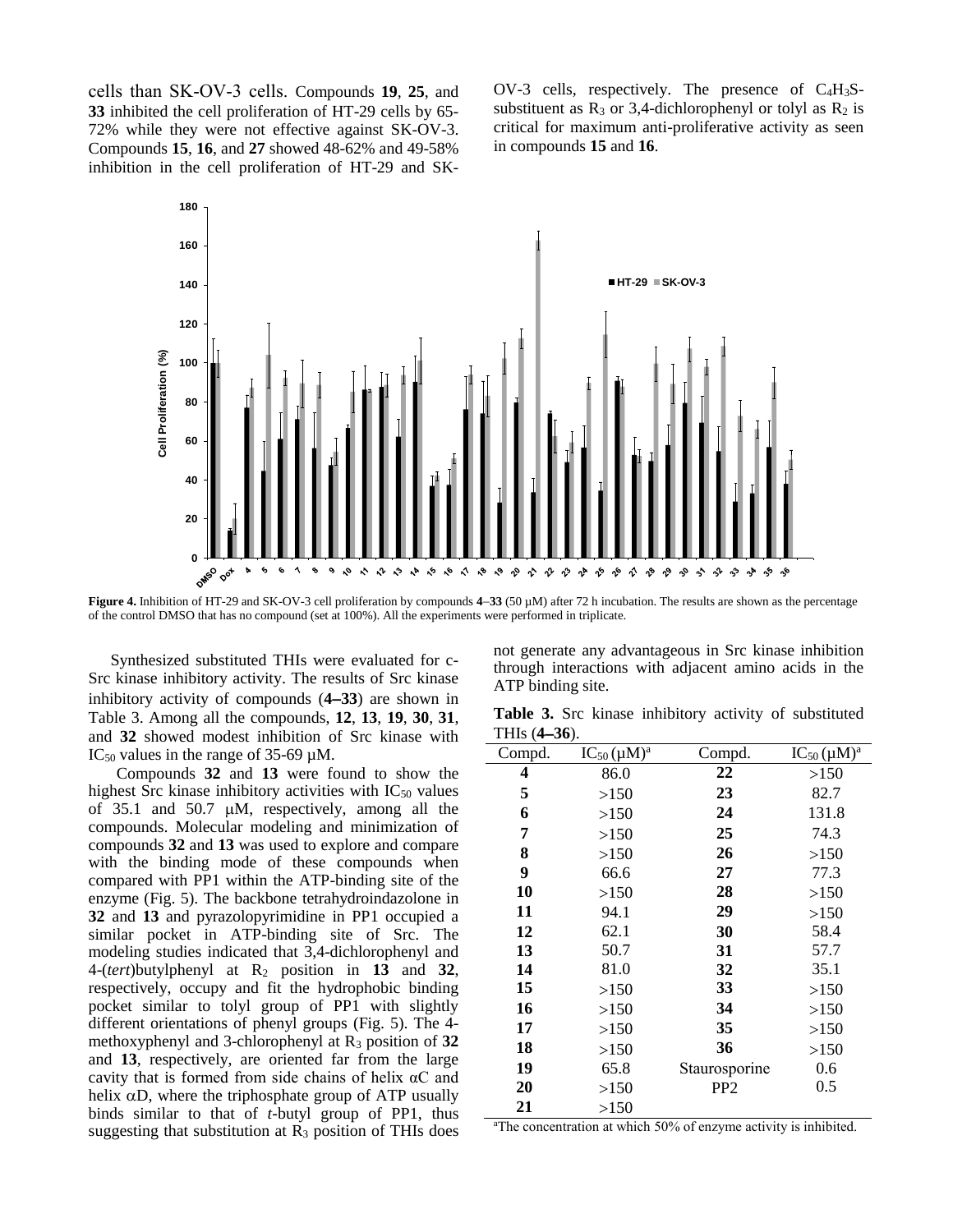cells than SK-OV-3 cells. Compounds **19**, **25**, and **33** inhibited the cell proliferation of HT-29 cells by 65- 72% while they were not effective against SK-OV-3. Compounds **15**, **16**, and **27** showed 48-62% and 49-58% inhibition in the cell proliferation of HT-29 and SK-

OV-3 cells, respectively. The presence of C4H3Ssubstituent as  $R_3$  or 3,4-dichlorophenyl or tolyl as  $R_2$  is critical for maximum anti-proliferative activity as seen in compounds **15** and **16**.



**Figure 4.** Inhibition of HT-29 and SK-OV-3 cell proliferation by compounds **433** (50 µM) after 72 h incubation. The results are shown as the percentage of the control DMSO that has no compound (set at 100%). All the experiments were performed in triplicate.

Synthesized substituted THIs were evaluated for c-Src kinase inhibitory activity. The results of Src kinase inhibitory activity of compounds (**433**) are shown in Table 3. Among all the compounds, **12**, **13**, **19**, **30**, **31**, and **32** showed modest inhibition of Src kinase with IC<sub>50</sub> values in the range of  $35-69$  uM.

Compounds **32** and **13** were found to show the highest Src kinase inhibitory activities with  $IC_{50}$  values of  $35.1$  and  $50.7 \mu M$ , respectively, among all the compounds. Molecular modeling and minimization of compounds **32** and **13** was used to explore and compare with the binding mode of these compounds when compared with PP1 within the ATP-binding site of the enzyme (Fig. 5). The backbone tetrahydroindazolone in **32** and **13** and pyrazolopyrimidine in PP1 occupied a similar pocket in ATP-binding site of Src. The modeling studies indicated that 3,4-dichlorophenyl and 4-(*tert*)butylphenyl at R<sup>2</sup> position in **13** and **32**, respectively, occupy and fit the hydrophobic binding pocket similar to tolyl group of PP1 with slightly different orientations of phenyl groups (Fig. 5). The 4 methoxyphenyl and 3-chlorophenyl at R<sup>3</sup> position of **32**  and **13**, respectively, are oriented far from the large cavity that is formed from side chains of helix αC and helix  $\alpha D$ , where the triphosphate group of ATP usually binds similar to that of *t*-butyl group of PP1, thus suggesting that substitution at  $R_3$  position of THIs does not generate any advantageous in Src kinase inhibition through interactions with adjacent amino acids in the ATP binding site.

**Table 3.** Src kinase inhibitory activity of substituted THIs (**436**).

| Compd. | $IC_{50}(\mu M)^a$ | Compd.          | $IC_{50}(\mu M)^a$ |
|--------|--------------------|-----------------|--------------------|
| 4      | 86.0               | 22              | >150               |
| 5      | >150               | 23              | 82.7               |
| 6      | >150               | 24              | 131.8              |
| 7      | >150               | 25              | 74.3               |
| 8      | >150               | 26              | >150               |
| 9      | 66.6               | 27              | 77.3               |
| 10     | >150               | 28              | >150               |
| 11     | 94.1               | 29              | >150               |
| 12     | 62.1               | 30              | 58.4               |
| 13     | 50.7               | 31              | 57.7               |
| 14     | 81.0               | 32              | 35.1               |
| 15     | >150               | 33              | >150               |
| 16     | >150               | 34              | >150               |
| 17     | >150               | 35              | >150               |
| 18     | >150               | 36              | >150               |
| 19     | 65.8               | Staurosporine   | 0.6                |
| 20     | >150               | PP <sub>2</sub> | $0.5\,$            |
| 21     | >150               |                 |                    |

aThe concentration at which 50% of enzyme activity is inhibited.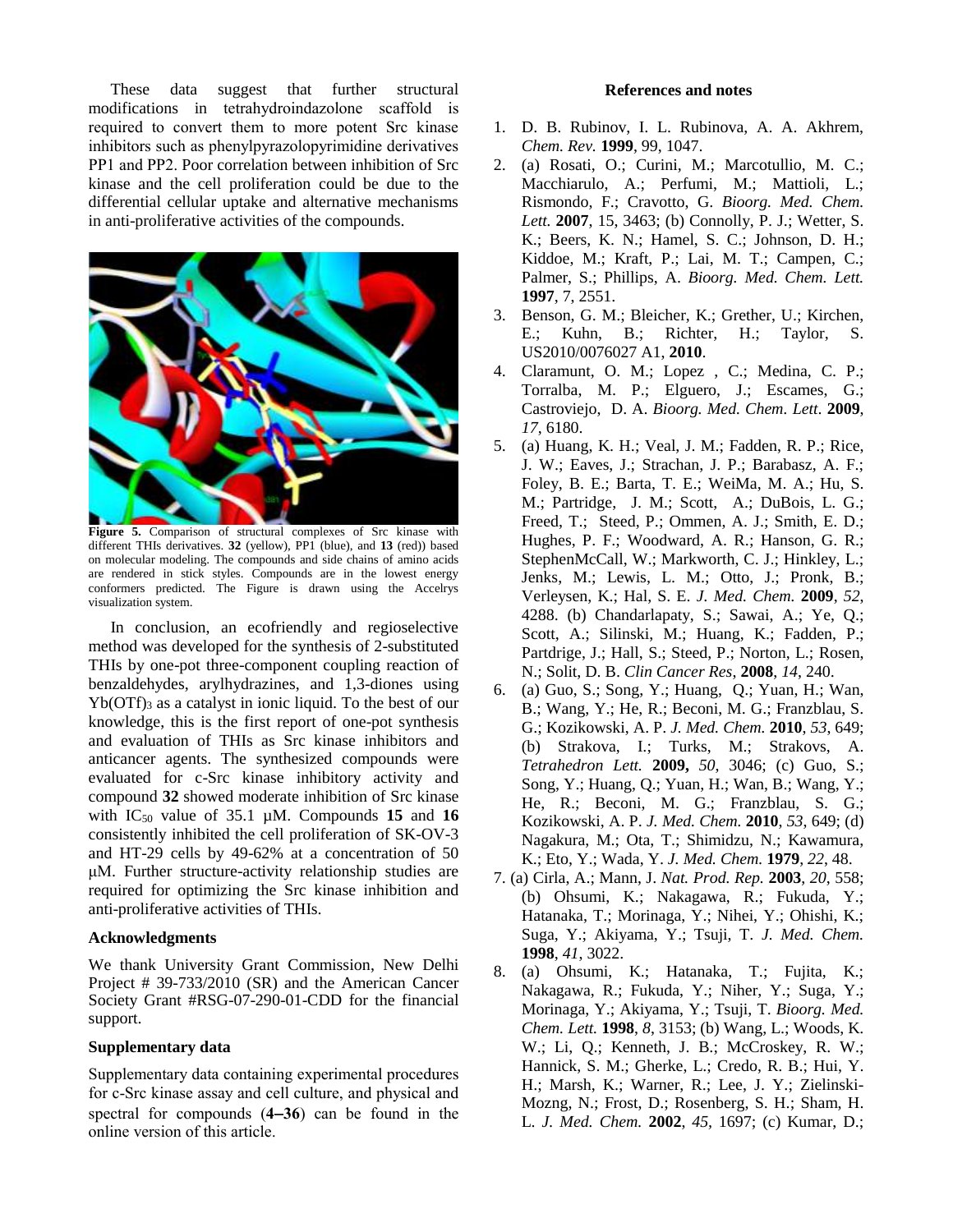These data suggest that further structural modifications in tetrahydroindazolone scaffold is required to convert them to more potent Src kinase inhibitors such as phenylpyrazolopyrimidine derivatives PP1 and PP2. Poor correlation between inhibition of Src kinase and the cell proliferation could be due to the differential cellular uptake and alternative mechanisms in anti-proliferative activities of the compounds.



**Figure 5.** Comparison of structural complexes of Src kinase with different THIs derivatives. **32** (yellow), PP1 (blue), and **13** (red)) based on molecular modeling. The compounds and side chains of amino acids are rendered in stick styles. Compounds are in the lowest energy conformers predicted. The Figure is drawn using the Accelrys visualization system.

In conclusion, an ecofriendly and regioselective method was developed for the synthesis of 2-substituted THIs by one-pot three-component coupling reaction of benzaldehydes, arylhydrazines, and 1,3-diones using  $Yb(OTf)$ <sub>3</sub> as a catalyst in ionic liquid. To the best of our knowledge, this is the first report of one-pot synthesis and evaluation of THIs as Src kinase inhibitors and anticancer agents. The synthesized compounds were evaluated for c-Src kinase inhibitory activity and compound **32** showed moderate inhibition of Src kinase with  $IC_{50}$  value of 35.1  $\mu$ M. Compounds 15 and 16 consistently inhibited the cell proliferation of SK-OV-3 and HT-29 cells by 49-62% at a concentration of 50 μM. Further structure-activity relationship studies are required for optimizing the Src kinase inhibition and anti-proliferative activities of THIs.

#### **Acknowledgments**

We thank University Grant Commission, New Delhi Project # 39-733/2010 (SR) and the American Cancer Society Grant #RSG-07-290-01-CDD for the financial support.

#### **Supplementary data**

Supplementary data containing experimental procedures for c-Src kinase assay and cell culture, and physical and spectral for compounds (**436**) can be found in the online version of this article.

#### **References and notes**

- 1. D. B. Rubinov, I. L. Rubinova, A. A. Akhrem, *Chem. Rev.* **1999**, 99, 1047.
- 2. (a) Rosati, O.; Curini, M.; Marcotullio, M. C.; Macchiarulo, A.; Perfumi, M.; Mattioli, L.; Rismondo, F.; Cravotto, G. *Bioorg. Med. Chem. Lett.* **2007**, 15, 3463; (b) Connolly, P. J.; Wetter, S. K.; Beers, K. N.; Hamel, S. C.; Johnson, D. H.; Kiddoe, M.; Kraft, P.; Lai, M. T.; Campen, C.; Palmer, S.; Phillips, A. *Bioorg. Med. Chem. Lett.* **1997**, 7, 2551.
- 3. Benson, G. M.; Bleicher, K.; Grether, U.; Kirchen, E.; Kuhn, B.; Richter, H.; Taylor, S. US2010/0076027 A1, **2010**.
- 4. Claramunt, O. M.; Lopez , C.; Medina, C. P.; Torralba, M. P.; Elguero, J.; Escames, G.; Castroviejo, D. A. *Bioorg. Med. Chem. Lett*. **2009**, *17*, 6180.
- 5. (a) Huang, K. H.; Veal, J. M.; Fadden, R. P.; Rice, J. W.; Eaves, J.; Strachan, J. P.; Barabasz, A. F.; Foley, B. E.; Barta, T. E.; WeiMa, M. A.; Hu, S. M.; Partridge, J. M.; Scott, A.; DuBois, L. G.; Freed, T.; Steed, P.; Ommen, A. J.; Smith, E. D.; Hughes, P. F.; Woodward, A. R.; Hanson, G. R.; StephenMcCall, W.; Markworth, C. J.; Hinkley, L.; Jenks, M.; Lewis, L. M.; Otto, J.; Pronk, B.; Verleysen, K.; Hal, S. E. *J. Med. Chem.* **2009**, *52*, 4288. (b) Chandarlapaty, S.; Sawai, A.; Ye, Q.; Scott, A.; Silinski, M.; Huang, K.; Fadden, P.; Partdrige, J.; Hall, S.; Steed, P.; Norton, L.; Rosen, N.; Solit, D. B. *Clin Cancer Res*, **2008**, *14*, 240.
- 6. (a) Guo, S.; Song, Y.; Huang, Q.; Yuan, H.; Wan, B.; Wang, Y.; He, R.; Beconi, M. G.; Franzblau, S. G.; Kozikowski, A. P. *J. Med. Chem.* **2010**, *53*, 649; (b) Strakova, I.; Turks, M.; Strakovs, A. *Tetrahedron Lett.* **2009,** *50*, 3046; (c) Guo, S.; Song, Y.; Huang, Q.; Yuan, H.; Wan, B.; Wang, Y.; He, R.; Beconi, M. G.; Franzblau, S. G.; Kozikowski, A. P. *J. Med. Chem.* **2010**, *53*, 649; (d) Nagakura, M.; Ota, T.; Shimidzu, N.; Kawamura, K.; Eto, Y.; Wada, Y. *J. Med. Chem.* **1979**, *22*, 48.
- 7. (a) Cirla, A.; Mann, J. *Nat. Prod. Rep.* **2003**, *20*, 558; (b) Ohsumi, K.; Nakagawa, R.; Fukuda, Y.; Hatanaka, T.; Morinaga, Y.; Nihei, Y.; Ohishi, K.; Suga, Y.; Akiyama, Y.; Tsuji, T. *J. Med. Chem.*  **1998**, *41*, 3022.
- 8. (a) Ohsumi, K.; Hatanaka, T.; Fujita, K.; Nakagawa, R.; Fukuda, Y.; Niher, Y.; Suga, Y.; Morinaga, Y.; Akiyama, Y.; Tsuji, T. *Bioorg. Med. Chem. Lett.* **1998**, *8*, 3153; (b) Wang, L.; Woods, K. W.; Li, Q.; Kenneth, J. B.; McCroskey, R. W.; Hannick, S. M.; Gherke, L.; Credo, R. B.; Hui, Y. H.; Marsh, K.; Warner, R.; Lee, J. Y.; Zielinski-Mozng, N.; Frost, D.; Rosenberg, S. H.; Sham, H. L. *J. Med. Chem.* **2002**, *45,* 1697; (c) Kumar, D.;